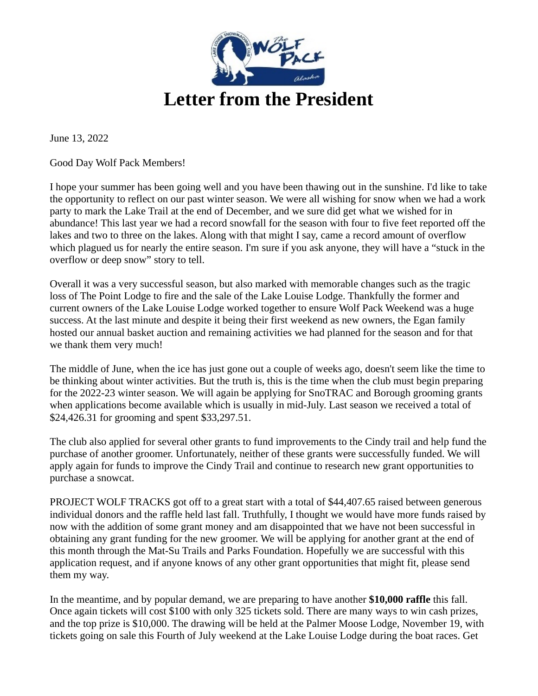

June 13, 2022

Good Day Wolf Pack Members!

I hope your summer has been going well and you have been thawing out in the sunshine. I'd like to take the opportunity to reflect on our past winter season. We were all wishing for snow when we had a work party to mark the Lake Trail at the end of December, and we sure did get what we wished for in abundance! This last year we had a record snowfall for the season with four to five feet reported off the lakes and two to three on the lakes. Along with that might I say, came a record amount of overflow which plagued us for nearly the entire season. I'm sure if you ask anyone, they will have a "stuck in the overflow or deep snow" story to tell.

Overall it was a very successful season, but also marked with memorable changes such as the tragic loss of The Point Lodge to fire and the sale of the Lake Louise Lodge. Thankfully the former and current owners of the Lake Louise Lodge worked together to ensure Wolf Pack Weekend was a huge success. At the last minute and despite it being their first weekend as new owners, the Egan family hosted our annual basket auction and remaining activities we had planned for the season and for that we thank them very much!

The middle of June, when the ice has just gone out a couple of weeks ago, doesn't seem like the time to be thinking about winter activities. But the truth is, this is the time when the club must begin preparing for the 2022-23 winter season. We will again be applying for SnoTRAC and Borough grooming grants when applications become available which is usually in mid-July. Last season we received a total of \$24,426.31 for grooming and spent \$33,297.51.

The club also applied for several other grants to fund improvements to the Cindy trail and help fund the purchase of another groomer. Unfortunately, neither of these grants were successfully funded. We will apply again for funds to improve the Cindy Trail and continue to research new grant opportunities to purchase a snowcat.

PROJECT WOLF TRACKS got off to a great start with a total of \$44,407.65 raised between generous individual donors and the raffle held last fall. Truthfully, I thought we would have more funds raised by now with the addition of some grant money and am disappointed that we have not been successful in obtaining any grant funding for the new groomer. We will be applying for another grant at the end of this month through the Mat-Su Trails and Parks Foundation. Hopefully we are successful with this application request, and if anyone knows of any other grant opportunities that might fit, please send them my way.

In the meantime, and by popular demand, we are preparing to have another **\$10,000 raffle** this fall. Once again tickets will cost \$100 with only 325 tickets sold. There are many ways to win cash prizes, and the top prize is \$10,000. The drawing will be held at the Palmer Moose Lodge, November 19, with tickets going on sale this Fourth of July weekend at the Lake Louise Lodge during the boat races. Get